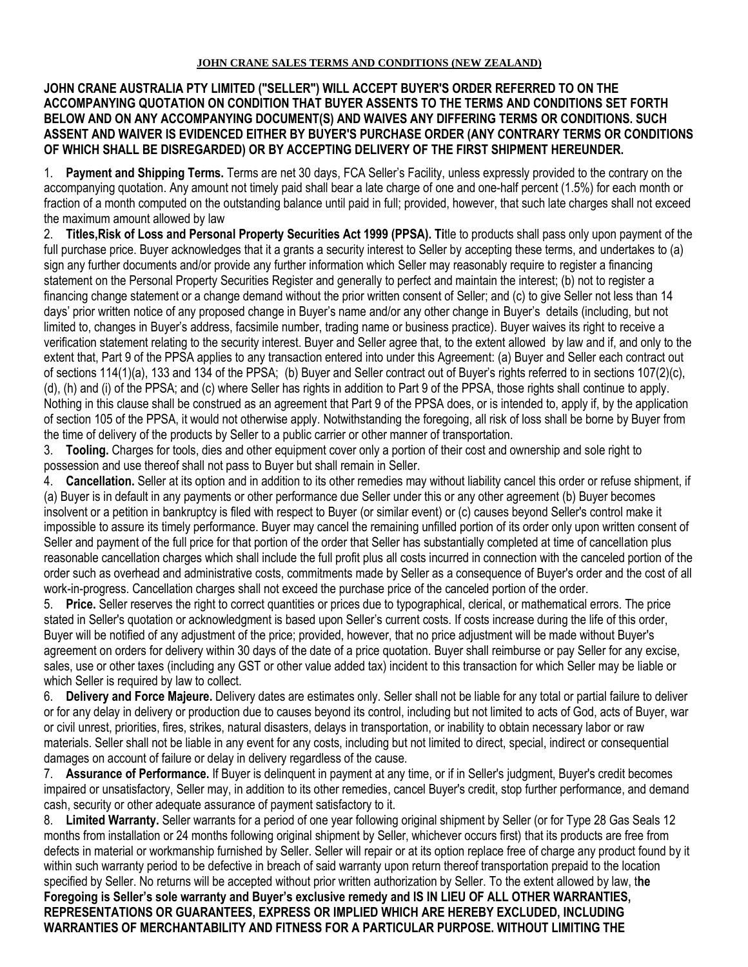#### **JOHN CRANE SALES TERMS AND CONDITIONS (NEW ZEALAND)**

### **JOHN CRANE AUSTRALIA PTY LIMITED ("SELLER") WILL ACCEPT BUYER'S ORDER REFERRED TO ON THE ACCOMPANYING QUOTATION ON CONDITION THAT BUYER ASSENTS TO THE TERMS AND CONDITIONS SET FORTH BELOW AND ON ANY ACCOMPANYING DOCUMENT(S) AND WAIVES ANY DIFFERING TERMS OR CONDITIONS. SUCH ASSENT AND WAIVER IS EVIDENCED EITHER BY BUYER'S PURCHASE ORDER (ANY CONTRARY TERMS OR CONDITIONS OF WHICH SHALL BE DISREGARDED) OR BY ACCEPTING DELIVERY OF THE FIRST SHIPMENT HEREUNDER.**

1. **Payment and Shipping Terms.** Terms are net 30 days, FCA Seller's Facility, unless expressly provided to the contrary on the accompanying quotation. Any amount not timely paid shall bear a late charge of one and one-half percent (1.5%) for each month or fraction of a month computed on the outstanding balance until paid in full; provided, however, that such late charges shall not exceed the maximum amount allowed by law

2. **Titles,Risk of Loss and Personal Property Securities Act 1999 (PPSA). Ti**tle to products shall pass only upon payment of the full purchase price. Buyer acknowledges that it a grants a security interest to Seller by accepting these terms, and undertakes to (a) sign any further documents and/or provide any further information which Seller may reasonably require to register a financing statement on the Personal Property Securities Register and generally to perfect and maintain the interest; (b) not to register a financing change statement or a change demand without the prior written consent of Seller; and (c) to give Seller not less than 14 days' prior written notice of any proposed change in Buyer's name and/or any other change in Buyer's details (including, but not limited to, changes in Buyer's address, facsimile number, trading name or business practice). Buyer waives its right to receive a verification statement relating to the security interest. Buyer and Seller agree that, to the extent allowed by law and if, and only to the extent that, Part 9 of the PPSA applies to any transaction entered into under this Agreement: (a) Buyer and Seller each contract out of sections 114(1)(a), 133 and 134 of the PPSA; (b) Buyer and Seller contract out of Buyer's rights referred to in sections 107(2)(c), (d), (h) and (i) of the PPSA; and (c) where Seller has rights in addition to Part 9 of the PPSA, those rights shall continue to apply. Nothing in this clause shall be construed as an agreement that Part 9 of the PPSA does, or is intended to, apply if, by the application of section 105 of the PPSA, it would not otherwise apply. Notwithstanding the foregoing, all risk of loss shall be borne by Buyer from the time of delivery of the products by Seller to a public carrier or other manner of transportation.

3. **Tooling.** Charges for tools, dies and other equipment cover only a portion of their cost and ownership and sole right to possession and use thereof shall not pass to Buyer but shall remain in Seller.

4. **Cancellation.** Seller at its option and in addition to its other remedies may without liability cancel this order or refuse shipment, if (a) Buyer is in default in any payments or other performance due Seller under this or any other agreement (b) Buyer becomes insolvent or a petition in bankruptcy is filed with respect to Buyer (or similar event) or (c) causes beyond Seller's control make it impossible to assure its timely performance. Buyer may cancel the remaining unfilled portion of its order only upon written consent of Seller and payment of the full price for that portion of the order that Seller has substantially completed at time of cancellation plus reasonable cancellation charges which shall include the full profit plus all costs incurred in connection with the canceled portion of the order such as overhead and administrative costs, commitments made by Seller as a consequence of Buyer's order and the cost of all work-in-progress. Cancellation charges shall not exceed the purchase price of the canceled portion of the order.

5. **Price.** Seller reserves the right to correct quantities or prices due to typographical, clerical, or mathematical errors. The price stated in Seller's quotation or acknowledgment is based upon Seller's current costs. If costs increase during the life of this order, Buyer will be notified of any adjustment of the price; provided, however, that no price adjustment will be made without Buyer's agreement on orders for delivery within 30 days of the date of a price quotation. Buyer shall reimburse or pay Seller for any excise, sales, use or other taxes (including any GST or other value added tax) incident to this transaction for which Seller may be liable or which Seller is required by law to collect.

6. **Delivery and Force Majeure.** Delivery dates are estimates only. Seller shall not be liable for any total or partial failure to deliver or for any delay in delivery or production due to causes beyond its control, including but not limited to acts of God, acts of Buyer, war or civil unrest, priorities, fires, strikes, natural disasters, delays in transportation, or inability to obtain necessary labor or raw materials. Seller shall not be liable in any event for any costs, including but not limited to direct, special, indirect or consequential damages on account of failure or delay in delivery regardless of the cause.

7. **Assurance of Performance.** If Buyer is delinquent in payment at any time, or if in Seller's judgment, Buyer's credit becomes impaired or unsatisfactory, Seller may, in addition to its other remedies, cancel Buyer's credit, stop further performance, and demand cash, security or other adequate assurance of payment satisfactory to it.

8. **Limited Warranty.** Seller warrants for a period of one year following original shipment by Seller (or for Type 28 Gas Seals 12 months from installation or 24 months following original shipment by Seller, whichever occurs first) that its products are free from defects in material or workmanship furnished by Seller. Seller will repair or at its option replace free of charge any product found by it within such warranty period to be defective in breach of said warranty upon return thereof transportation prepaid to the location specified by Seller. No returns will be accepted without prior written authorization by Seller. To the extent allowed by law, t**he Foregoing is Seller's sole warranty and Buyer's exclusive remedy and IS IN LIEU OF ALL OTHER WARRANTIES, REPRESENTATIONS OR GUARANTEES, EXPRESS OR IMPLIED WHICH ARE HEREBY EXCLUDED, INCLUDING WARRANTIES OF MERCHANTABILITY AND FITNESS FOR A PARTICULAR PURPOSE. WITHOUT LIMITING THE**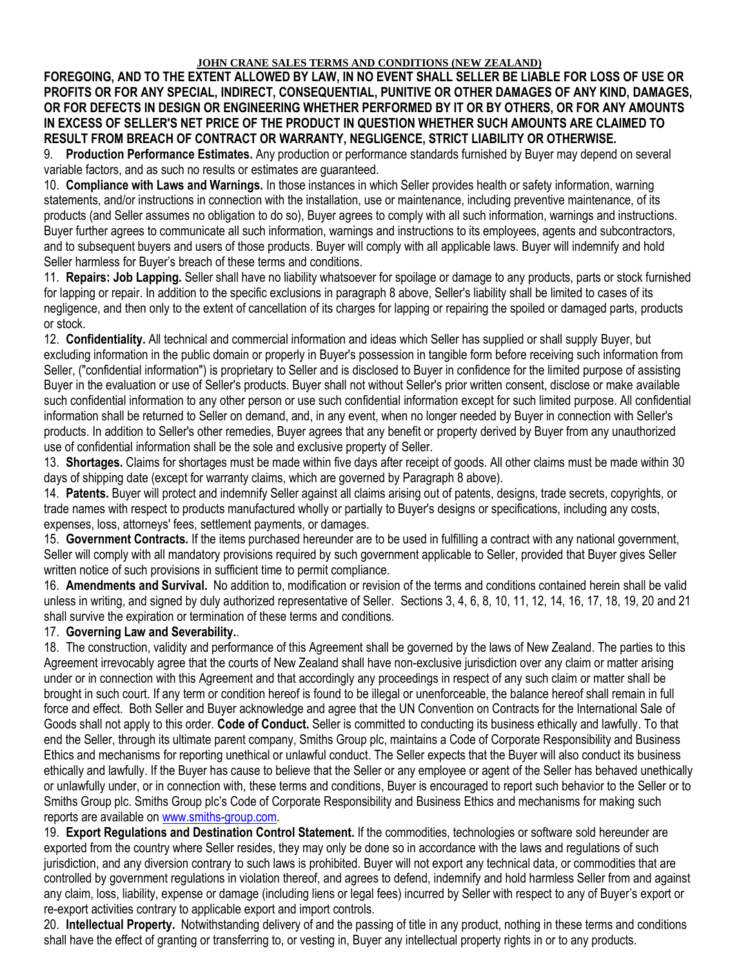### **JOHN CRANE SALES TERMS AND CONDITIONS (NEW ZEALAND)**

**FOREGOING, AND TO THE EXTENT ALLOWED BY LAW, IN NO EVENT SHALL SELLER BE LIABLE FOR LOSS OF USE OR PROFITS OR FOR ANY SPECIAL, INDIRECT, CONSEQUENTIAL, PUNITIVE OR OTHER DAMAGES OF ANY KIND, DAMAGES, OR FOR DEFECTS IN DESIGN OR ENGINEERING WHETHER PERFORMED BY IT OR BY OTHERS, OR FOR ANY AMOUNTS IN EXCESS OF SELLER'S NET PRICE OF THE PRODUCT IN QUESTION WHETHER SUCH AMOUNTS ARE CLAIMED TO RESULT FROM BREACH OF CONTRACT OR WARRANTY, NEGLIGENCE, STRICT LIABILITY OR OTHERWISE.** 

9. **Production Performance Estimates.** Any production or performance standards furnished by Buyer may depend on several variable factors, and as such no results or estimates are guaranteed.

10. **Compliance with Laws and Warnings.** In those instances in which Seller provides health or safety information, warning statements, and/or instructions in connection with the installation, use or maintenance, including preventive maintenance, of its products (and Seller assumes no obligation to do so), Buyer agrees to comply with all such information, warnings and instructions. Buyer further agrees to communicate all such information, warnings and instructions to its employees, agents and subcontractors, and to subsequent buyers and users of those products. Buyer will comply with all applicable laws. Buyer will indemnify and hold Seller harmless for Buyer's breach of these terms and conditions.

11. **Repairs: Job Lapping.** Seller shall have no liability whatsoever for spoilage or damage to any products, parts or stock furnished for lapping or repair. In addition to the specific exclusions in paragraph 8 above, Seller's liability shall be limited to cases of its negligence, and then only to the extent of cancellation of its charges for lapping or repairing the spoiled or damaged parts, products or stock.

12. **Confidentiality.** All technical and commercial information and ideas which Seller has supplied or shall supply Buyer, but excluding information in the public domain or properly in Buyer's possession in tangible form before receiving such information from Seller, ("confidential information") is proprietary to Seller and is disclosed to Buyer in confidence for the limited purpose of assisting Buyer in the evaluation or use of Seller's products. Buyer shall not without Seller's prior written consent, disclose or make available such confidential information to any other person or use such confidential information except for such limited purpose. All confidential information shall be returned to Seller on demand, and, in any event, when no longer needed by Buyer in connection with Seller's products. In addition to Seller's other remedies, Buyer agrees that any benefit or property derived by Buyer from any unauthorized use of confidential information shall be the sole and exclusive property of Seller.

13. **Shortages.** Claims for shortages must be made within five days after receipt of goods. All other claims must be made within 30 days of shipping date (except for warranty claims, which are governed by Paragraph 8 above).

14. **Patents.** Buyer will protect and indemnify Seller against all claims arising out of patents, designs, trade secrets, copyrights, or trade names with respect to products manufactured wholly or partially to Buyer's designs or specifications, including any costs, expenses, loss, attorneys' fees, settlement payments, or damages.

15. **Government Contracts.** If the items purchased hereunder are to be used in fulfilling a contract with any national government, Seller will comply with all mandatory provisions required by such government applicable to Seller, provided that Buyer gives Seller written notice of such provisions in sufficient time to permit compliance.

16. **Amendments and Survival.** No addition to, modification or revision of the terms and conditions contained herein shall be valid unless in writing, and signed by duly authorized representative of Seller. Sections 3, 4, 6, 8, 10, 11, 12, 14, 16, 17, 18, 19, 20 and 21 shall survive the expiration or termination of these terms and conditions.

## 17. **Governing Law and Severability.**.

18. The construction, validity and performance of this Agreement shall be governed by the laws of New Zealand. The parties to this Agreement irrevocably agree that the courts of New Zealand shall have non-exclusive jurisdiction over any claim or matter arising under or in connection with this Agreement and that accordingly any proceedings in respect of any such claim or matter shall be brought in such court. If any term or condition hereof is found to be illegal or unenforceable, the balance hereof shall remain in full force and effect. Both Seller and Buyer acknowledge and agree that the UN Convention on Contracts for the International Sale of Goods shall not apply to this order. **Code of Conduct.** Seller is committed to conducting its business ethically and lawfully. To that end the Seller, through its ultimate parent company, Smiths Group plc, maintains a Code of Corporate Responsibility and Business Ethics and mechanisms for reporting unethical or unlawful conduct. The Seller expects that the Buyer will also conduct its business ethically and lawfully. If the Buyer has cause to believe that the Seller or any employee or agent of the Seller has behaved unethically or unlawfully under, or in connection with, these terms and conditions, Buyer is encouraged to report such behavior to the Seller or to Smiths Group plc. Smiths Group plc's Code of Corporate Responsibility and Business Ethics and mechanisms for making such reports are available on [www.smiths-group.com.](http://www.smiths-group.com/)

19. **Export Regulations and Destination Control Statement.** If the commodities, technologies or software sold hereunder are exported from the country where Seller resides, they may only be done so in accordance with the laws and regulations of such jurisdiction, and any diversion contrary to such laws is prohibited. Buyer will not export any technical data, or commodities that are controlled by government regulations in violation thereof, and agrees to defend, indemnify and hold harmless Seller from and against any claim, loss, liability, expense or damage (including liens or legal fees) incurred by Seller with respect to any of Buyer's export or re-export activities contrary to applicable export and import controls.

20. **Intellectual Property.** Notwithstanding delivery of and the passing of title in any product, nothing in these terms and conditions shall have the effect of granting or transferring to, or vesting in, Buyer any intellectual property rights in or to any products.